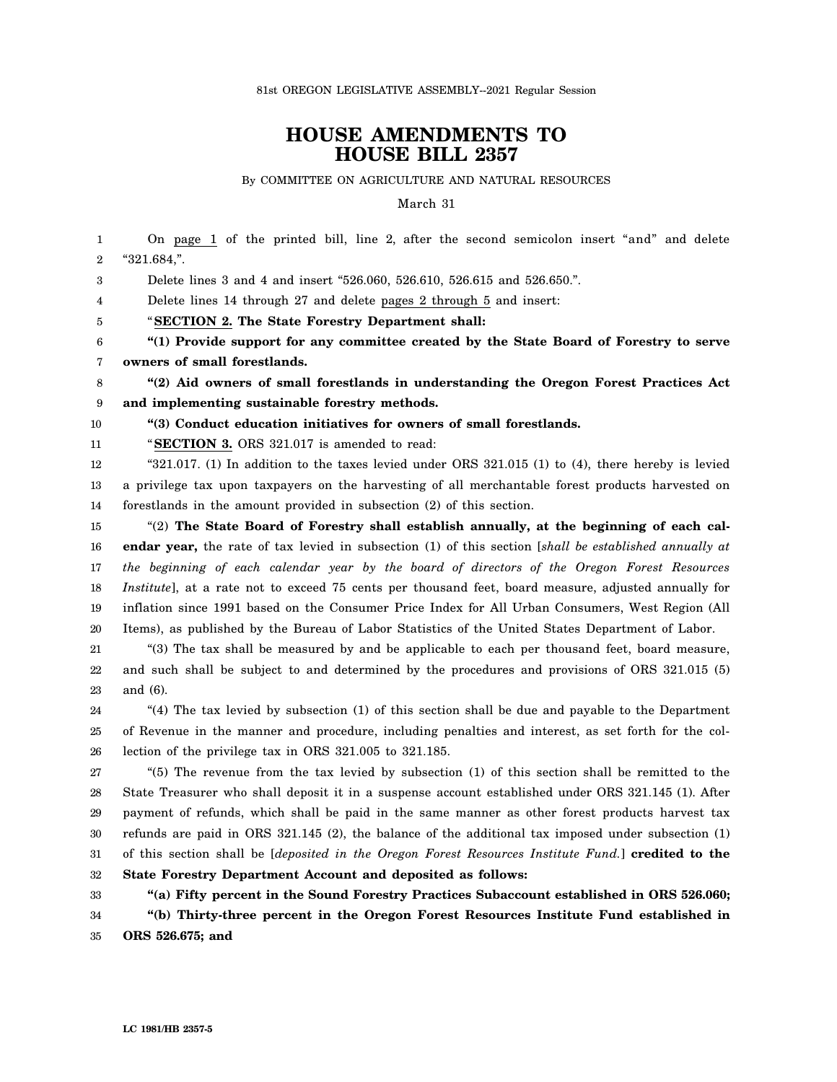## **HOUSE AMENDMENTS TO HOUSE BILL 2357**

By COMMITTEE ON AGRICULTURE AND NATURAL RESOURCES

March 31

1 2 3 4 5 6 7 8 9 10 11 12 13 14 15 16 17 18 19 20 21 22 23 24 25 26 27 28 29 30 31 32 33 34 35 On page 1 of the printed bill, line 2, after the second semicolon insert "and" and delete "321.684,". Delete lines 3 and 4 and insert "526.060, 526.610, 526.615 and 526.650.". Delete lines 14 through 27 and delete pages 2 through 5 and insert: "**SECTION 2. The State Forestry Department shall: "(1) Provide support for any committee created by the State Board of Forestry to serve owners of small forestlands. "(2) Aid owners of small forestlands in understanding the Oregon Forest Practices Act and implementing sustainable forestry methods. "(3) Conduct education initiatives for owners of small forestlands.** "**SECTION 3.** ORS 321.017 is amended to read: "321.017. (1) In addition to the taxes levied under ORS 321.015 (1) to (4), there hereby is levied a privilege tax upon taxpayers on the harvesting of all merchantable forest products harvested on forestlands in the amount provided in subsection (2) of this section. "(2) **The State Board of Forestry shall establish annually, at the beginning of each calendar year,** the rate of tax levied in subsection (1) of this section [*shall be established annually at the beginning of each calendar year by the board of directors of the Oregon Forest Resources Institute*], at a rate not to exceed 75 cents per thousand feet, board measure, adjusted annually for inflation since 1991 based on the Consumer Price Index for All Urban Consumers, West Region (All Items), as published by the Bureau of Labor Statistics of the United States Department of Labor. "(3) The tax shall be measured by and be applicable to each per thousand feet, board measure, and such shall be subject to and determined by the procedures and provisions of ORS 321.015 (5) and (6). "(4) The tax levied by subsection (1) of this section shall be due and payable to the Department of Revenue in the manner and procedure, including penalties and interest, as set forth for the collection of the privilege tax in ORS 321.005 to 321.185. "(5) The revenue from the tax levied by subsection (1) of this section shall be remitted to the State Treasurer who shall deposit it in a suspense account established under ORS 321.145 (1). After payment of refunds, which shall be paid in the same manner as other forest products harvest tax refunds are paid in ORS 321.145 (2), the balance of the additional tax imposed under subsection (1) of this section shall be [*deposited in the Oregon Forest Resources Institute Fund.*] **credited to the State Forestry Department Account and deposited as follows: "(a) Fifty percent in the Sound Forestry Practices Subaccount established in ORS 526.060; "(b) Thirty-three percent in the Oregon Forest Resources Institute Fund established in ORS 526.675; and**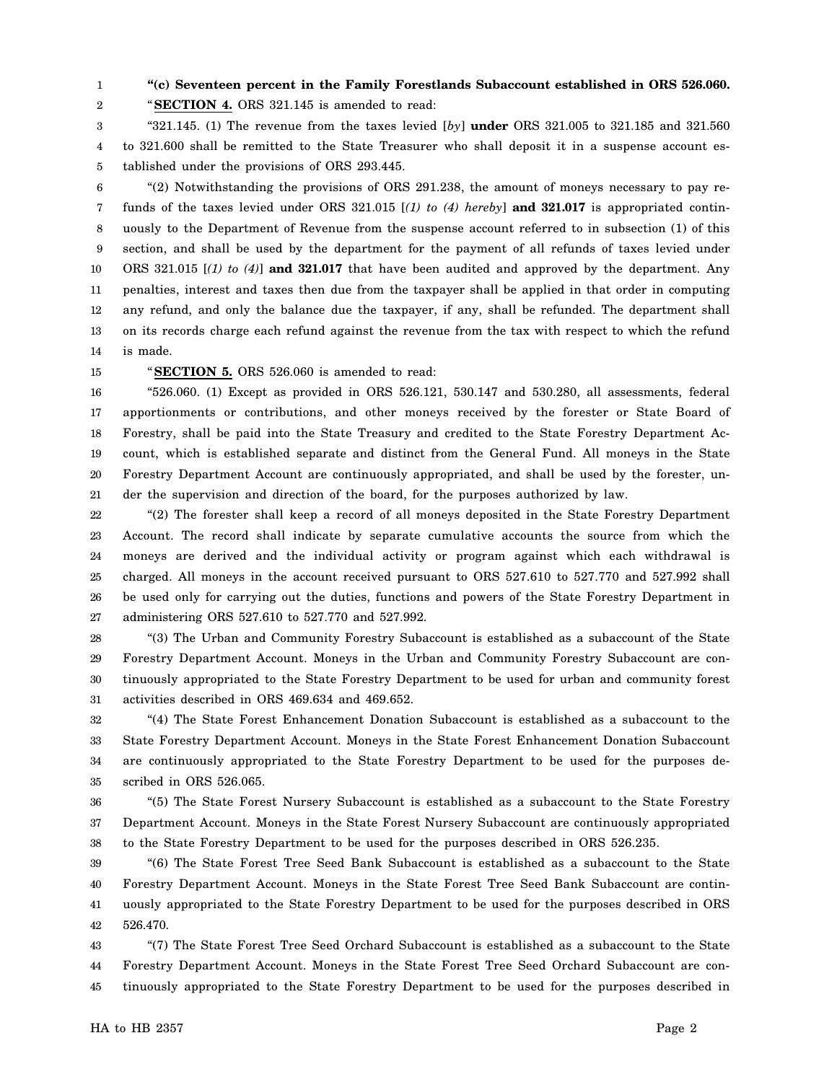1

## 2

## **"(c) Seventeen percent in the Family Forestlands Subaccount established in ORS 526.060.**

"**SECTION 4.** ORS 321.145 is amended to read:

3 4 5 "321.145. (1) The revenue from the taxes levied [*by*] **under** ORS 321.005 to 321.185 and 321.560 to 321.600 shall be remitted to the State Treasurer who shall deposit it in a suspense account established under the provisions of ORS 293.445.

6 7 8 9 10 11 12 13 14 "(2) Notwithstanding the provisions of ORS 291.238, the amount of moneys necessary to pay refunds of the taxes levied under ORS 321.015 [*(1) to (4) hereby*] **and 321.017** is appropriated continuously to the Department of Revenue from the suspense account referred to in subsection (1) of this section, and shall be used by the department for the payment of all refunds of taxes levied under ORS 321.015 [*(1) to (4)*] **and 321.017** that have been audited and approved by the department. Any penalties, interest and taxes then due from the taxpayer shall be applied in that order in computing any refund, and only the balance due the taxpayer, if any, shall be refunded. The department shall on its records charge each refund against the revenue from the tax with respect to which the refund is made.

15

"**SECTION 5.** ORS 526.060 is amended to read:

16 17 18 19 20 21 "526.060. (1) Except as provided in ORS 526.121, 530.147 and 530.280, all assessments, federal apportionments or contributions, and other moneys received by the forester or State Board of Forestry, shall be paid into the State Treasury and credited to the State Forestry Department Account, which is established separate and distinct from the General Fund. All moneys in the State Forestry Department Account are continuously appropriated, and shall be used by the forester, under the supervision and direction of the board, for the purposes authorized by law.

22 23 24 25 26 27 "(2) The forester shall keep a record of all moneys deposited in the State Forestry Department Account. The record shall indicate by separate cumulative accounts the source from which the moneys are derived and the individual activity or program against which each withdrawal is charged. All moneys in the account received pursuant to ORS 527.610 to 527.770 and 527.992 shall be used only for carrying out the duties, functions and powers of the State Forestry Department in administering ORS 527.610 to 527.770 and 527.992.

28 29 30 31 "(3) The Urban and Community Forestry Subaccount is established as a subaccount of the State Forestry Department Account. Moneys in the Urban and Community Forestry Subaccount are continuously appropriated to the State Forestry Department to be used for urban and community forest activities described in ORS 469.634 and 469.652.

32 33 34 35 "(4) The State Forest Enhancement Donation Subaccount is established as a subaccount to the State Forestry Department Account. Moneys in the State Forest Enhancement Donation Subaccount are continuously appropriated to the State Forestry Department to be used for the purposes described in ORS 526.065.

36 37 38 "(5) The State Forest Nursery Subaccount is established as a subaccount to the State Forestry Department Account. Moneys in the State Forest Nursery Subaccount are continuously appropriated to the State Forestry Department to be used for the purposes described in ORS 526.235.

39 40 41 42 "(6) The State Forest Tree Seed Bank Subaccount is established as a subaccount to the State Forestry Department Account. Moneys in the State Forest Tree Seed Bank Subaccount are continuously appropriated to the State Forestry Department to be used for the purposes described in ORS 526.470.

43 44 45 "(7) The State Forest Tree Seed Orchard Subaccount is established as a subaccount to the State Forestry Department Account. Moneys in the State Forest Tree Seed Orchard Subaccount are continuously appropriated to the State Forestry Department to be used for the purposes described in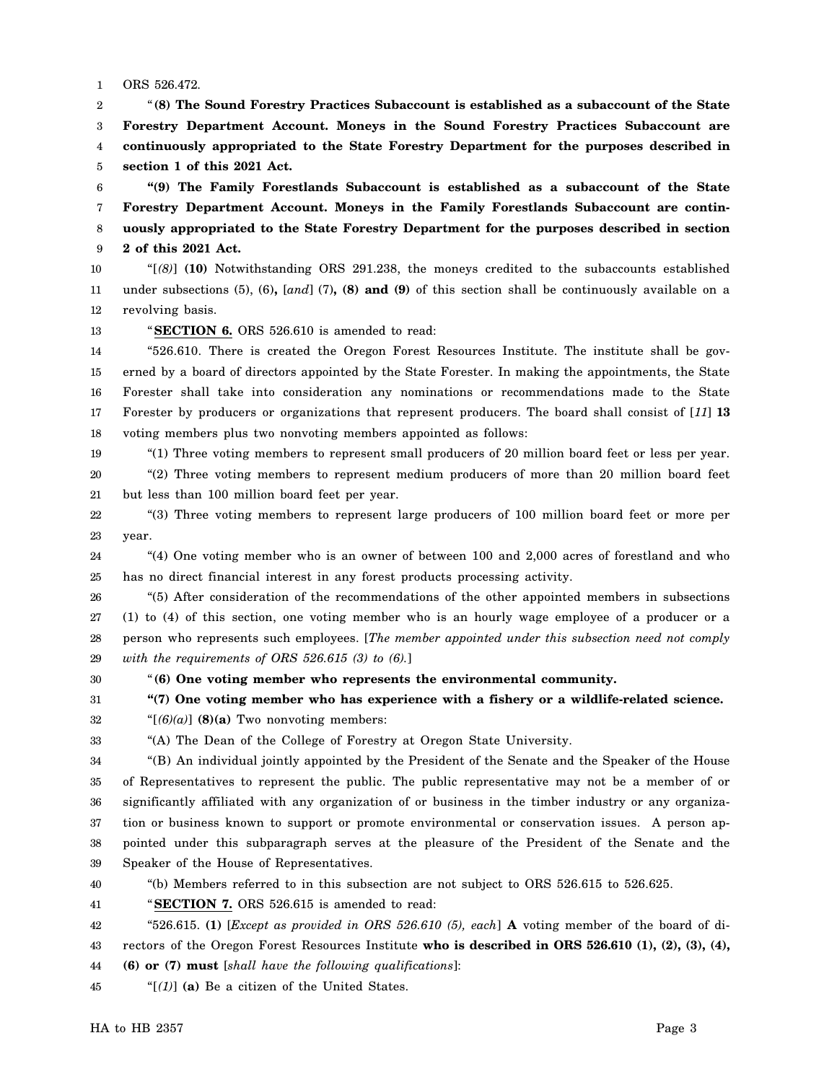1 ORS 526.472.

2 3 4 5 "**(8) The Sound Forestry Practices Subaccount is established as a subaccount of the State Forestry Department Account. Moneys in the Sound Forestry Practices Subaccount are continuously appropriated to the State Forestry Department for the purposes described in section 1 of this 2021 Act.**

6 7 8 9 **"(9) The Family Forestlands Subaccount is established as a subaccount of the State Forestry Department Account. Moneys in the Family Forestlands Subaccount are continuously appropriated to the State Forestry Department for the purposes described in section 2 of this 2021 Act.**

10 11 12 "[*(8)*] **(10)** Notwithstanding ORS 291.238, the moneys credited to the subaccounts established under subsections (5), (6)**,** [*and*] (7)**, (8) and (9)** of this section shall be continuously available on a revolving basis.

13 "**SECTION 6.** ORS 526.610 is amended to read:

14 15 16 17 18 "526.610. There is created the Oregon Forest Resources Institute. The institute shall be governed by a board of directors appointed by the State Forester. In making the appointments, the State Forester shall take into consideration any nominations or recommendations made to the State Forester by producers or organizations that represent producers. The board shall consist of [*11*] **13** voting members plus two nonvoting members appointed as follows:

19

"(1) Three voting members to represent small producers of 20 million board feet or less per year.

20 21 "(2) Three voting members to represent medium producers of more than 20 million board feet but less than 100 million board feet per year.

22 23 "(3) Three voting members to represent large producers of 100 million board feet or more per year.

24 25 "(4) One voting member who is an owner of between 100 and 2,000 acres of forestland and who has no direct financial interest in any forest products processing activity.

26 27 28 29 "(5) After consideration of the recommendations of the other appointed members in subsections (1) to (4) of this section, one voting member who is an hourly wage employee of a producer or a person who represents such employees. [*The member appointed under this subsection need not comply with the requirements of ORS 526.615 (3) to (6).*]

30

33

"**(6) One voting member who represents the environmental community.**

31 **"(7) One voting member who has experience with a fishery or a wildlife-related science.**

32 " $[(6)(a)]$  (8)(a) Two nonvoting members:

"(A) The Dean of the College of Forestry at Oregon State University.

34 35 36 37 38 39 "(B) An individual jointly appointed by the President of the Senate and the Speaker of the House of Representatives to represent the public. The public representative may not be a member of or significantly affiliated with any organization of or business in the timber industry or any organization or business known to support or promote environmental or conservation issues. A person appointed under this subparagraph serves at the pleasure of the President of the Senate and the Speaker of the House of Representatives.

40

"(b) Members referred to in this subsection are not subject to ORS 526.615 to 526.625.

41 "**SECTION 7.** ORS 526.615 is amended to read:

42 43 "526.615. **(1)** [*Except as provided in ORS 526.610 (5), each*] **A** voting member of the board of directors of the Oregon Forest Resources Institute **who is described in ORS 526.610 (1), (2), (3), (4),**

44 **(6) or (7) must** [*shall have the following qualifications*]:

45 "[*(1)*] **(a)** Be a citizen of the United States.